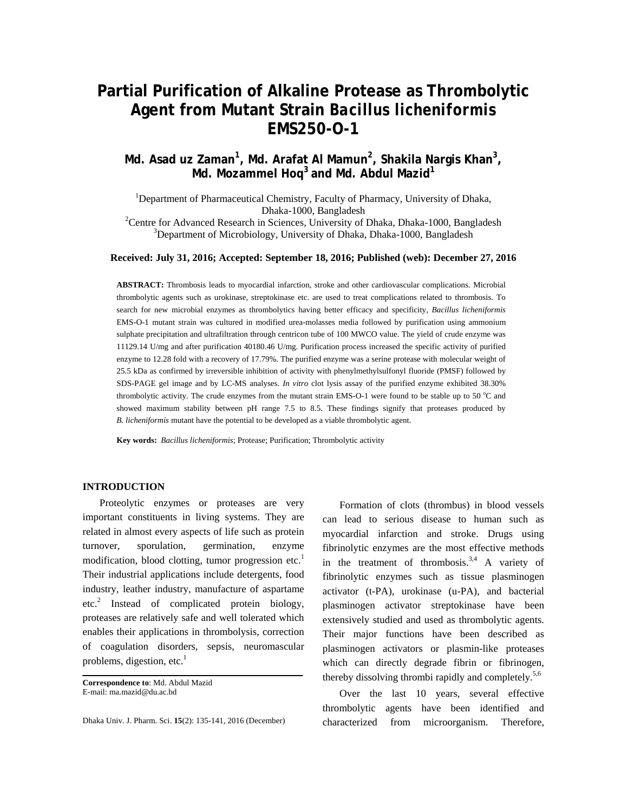# **Partial Purification of Alkaline Protease as Thrombolytic Agent from Mutant Strain** *Bacillus licheniformis* **EMS250-O-1**

# **Md. Asad uz Zaman<sup>1</sup> , Md. Arafat Al Mamun<sup>2</sup> , Shakila Nargis Khan3 , Md. Mozammel Hoq<sup>3</sup> and Md. Abdul Mazid<sup>1</sup>**

<sup>1</sup>Department of Pharmaceutical Chemistry, Faculty of Pharmacy, University of Dhaka, Dhaka-1000, Bangladesh<br><sup>2</sup>Centre for Advanced Besseroh in Sciences, University of l Centre for Advanced Research in Sciences, University of Dhaka, Dhaka-1000, Bangladesh 3Depertment of Microbiology, University of Dhaka, Dhaka-1000, Bangladesh

<sup>3</sup>Department of Microbiology, University of Dhaka, Dhaka-1000, Bangladesh

# **Received: July 31, 2016; Accepted: September 18, 2016; Published (web): December 27, 2016**

**ABSTRACT:** Thrombosis leads to myocardial infarction, stroke and other cardiovascular complications. Microbial thrombolytic agents such as urokinase, streptokinase etc. are used to treat complications related to thrombosis. To search for new microbial enzymes as thrombolytics having better efficacy and specificity, *Bacillus licheniformis*  EMS-O-1 mutant strain was cultured in modified urea-molasses media followed by purification using ammonium sulphate precipitation and ultrafiltration through centricon tube of 100 MWCO value. The yield of crude enzyme was 11129.14 U/mg and after purification 40180.46 U/mg. Purification process increased the specific activity of purified enzyme to 12.28 fold with a recovery of 17.79%. The purified enzyme was a serine protease with molecular weight of 25.5 kDa as confirmed by irreversible inhibition of activity with phenylmethylsulfonyl fluoride (PMSF) followed by SDS-PAGE gel image and by LC-MS analyses. *In vitro* clot lysis assay of the purified enzyme exhibited 38.30% thrombolytic activity. The crude enzymes from the mutant strain EMS-O-1 were found to be stable up to 50  $^{\circ}$ C and showed maximum stability between pH range 7.5 to 8.5. These findings signify that proteases produced by *B. licheniformis* mutant have the potential to be developed as a viable thrombolytic agent.

**Key words:** *Bacillus licheniformis*; Protease; Purification; Thrombolytic activity

# **INTRODUCTION**

 Proteolytic enzymes or proteases are very important constituents in living systems. They are related in almost every aspects of life such as protein turnover, sporulation, germination, enzyme modification, blood clotting, tumor progression etc.<sup>1</sup> Their industrial applications include detergents, food industry, leather industry, manufacture of aspartame etc.<sup>2</sup> Instead of complicated protein biology, proteases are relatively safe and well tolerated which enables their applications in thrombolysis, correction of coagulation disorders, sepsis, neuromascular problems, digestion, etc. $<sup>1</sup>$ </sup>

Dhaka Univ. J. Pharm. Sci. **15**(2): 135-141, 2016 (December)

 Formation of clots (thrombus) in blood vessels can lead to serious disease to human such as myocardial infarction and stroke. Drugs using fibrinolytic enzymes are the most effective methods in the treatment of thrombosis.<sup>3,4</sup> A variety of fibrinolytic enzymes such as tissue plasminogen activator (t-PA), urokinase (u-PA), and bacterial plasminogen activator streptokinase have been extensively studied and used as thrombolytic agents. Their major functions have been described as plasminogen activators or plasmin-like proteases which can directly degrade fibrin or fibrinogen, thereby dissolving thrombi rapidly and completely.<sup>5,6</sup>

 Over the last 10 years, several effective thrombolytic agents have been identified and characterized from microorganism. Therefore,

**Correspondence to**: Md. Abdul Mazid E-mail: ma.mazid@du.ac.bd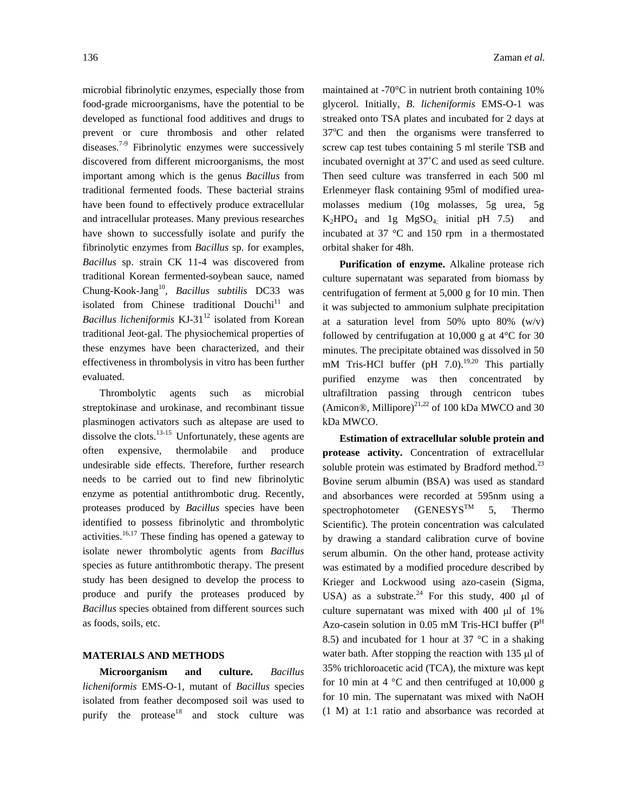microbial fibrinolytic enzymes, especially those from food-grade microorganisms, have the potential to be developed as functional food additives and drugs to prevent or cure thrombosis and other related diseases.<sup>7-9</sup> Fibrinolytic enzymes were successively discovered from different microorganisms, the most important among which is the genus *Bacillus* from traditional fermented foods. These bacterial strains have been found to effectively produce extracellular and intracellular proteases. Many previous researches have shown to successfully isolate and purify the fibrinolytic enzymes from *Bacillus* sp. for examples, *Bacillus* sp. strain CK 11-4 was discovered from traditional Korean fermented-soybean sauce, named Chung-Kook-Jang10, *Bacillus subtilis* DC33 was isolated from Chinese traditional Douchi<sup>11</sup> and *Bacillus licheniformis* KJ-31<sup>12</sup> isolated from Korean traditional Jeot-gal. The physiochemical properties of these enzymes have been characterized, and their effectiveness in thrombolysis in vitro has been further evaluated.

 Thrombolytic agents such as microbial streptokinase and urokinase, and recombinant tissue plasminogen activators such as altepase are used to dissolve the clots.<sup>13-15</sup> Unfortunately, these agents are often expensive, thermolabile and produce undesirable side effects. Therefore, further research needs to be carried out to find new fibrinolytic enzyme as potential antithrombotic drug. Recently, proteases produced by *Bacillus* species have been identified to possess fibrinolytic and thrombolytic activities.<sup>16,17</sup> These finding has opened a gateway to isolate newer thrombolytic agents from *Bacillus*  species as future antithrombotic therapy. The present study has been designed to develop the process to produce and purify the proteases produced by *Bacillus* species obtained from different sources such as foods, soils, etc.

#### **MATERIALS AND METHODS**

**Microorganism and culture.** *Bacillus licheniformis* EMS-O-1, mutant of *Bacillus* species isolated from feather decomposed soil was used to purify the protease $18$  and stock culture was maintained at -70°C in nutrient broth containing 10% glycerol. Initially, *B. licheniformis* EMS-O-1 was streaked onto TSA plates and incubated for 2 days at 37°C and then the organisms were transferred to screw cap test tubes containing 5 ml sterile TSB and incubated overnight at 37˚C and used as seed culture. Then seed culture was transferred in each 500 ml Erlenmeyer flask containing 95ml of modified ureamolasses medium (10g molasses, 5g urea, 5g  $K_2HPO_4$  and 1g  $MgSO_4$ ; initial pH 7.5) and incubated at 37 °C and 150 rpm in a thermostated orbital shaker for 48h.

 **Purification of enzyme.** Alkaline protease rich culture supernatant was separated from biomass by centrifugation of ferment at 5,000 g for 10 min. Then it was subjected to ammonium sulphate precipitation at a saturation level from 50% upto 80%  $(w/v)$ followed by centrifugation at 10,000 g at 4°C for 30 minutes. The precipitate obtained was dissolved in 50 mM Tris-HCl buffer (pH  $7.0$ ).<sup>19,20</sup> This partially purified enzyme was then concentrated by ultrafiltration passing through centricon tubes (Amicon®, Millipore) $^{21,22}$  of 100 kDa MWCO and 30 kDa MWCO.

 **Estimation of extracellular soluble protein and protease activity.** Concentration of extracellular soluble protein was estimated by Bradford method.<sup>23</sup> Bovine serum albumin (BSA) was used as standard and absorbances were recorded at 595nm using a spectrophotometer  $(GENESYS^{TM} \quad 5,$  Thermo Scientific). The protein concentration was calculated by drawing a standard calibration curve of bovine serum albumin. On the other hand, protease activity was estimated by a modified procedure described by Krieger and Lockwood using azo-casein (Sigma, USA) as a substrate.<sup>24</sup> For this study, 400  $\mu$ l of culture supernatant was mixed with 400 µl of 1% Azo-casein solution in 0.05 mM Tris-HCI buffer  $(P<sup>H</sup>)$ 8.5) and incubated for 1 hour at  $37 \text{ °C}$  in a shaking water bath. After stopping the reaction with 135 µl of 35% trichloroacetic acid (TCA), the mixture was kept for 10 min at 4  $\degree$ C and then centrifuged at 10,000 g for 10 min. The supernatant was mixed with NaOH (1 M) at 1:1 ratio and absorbance was recorded at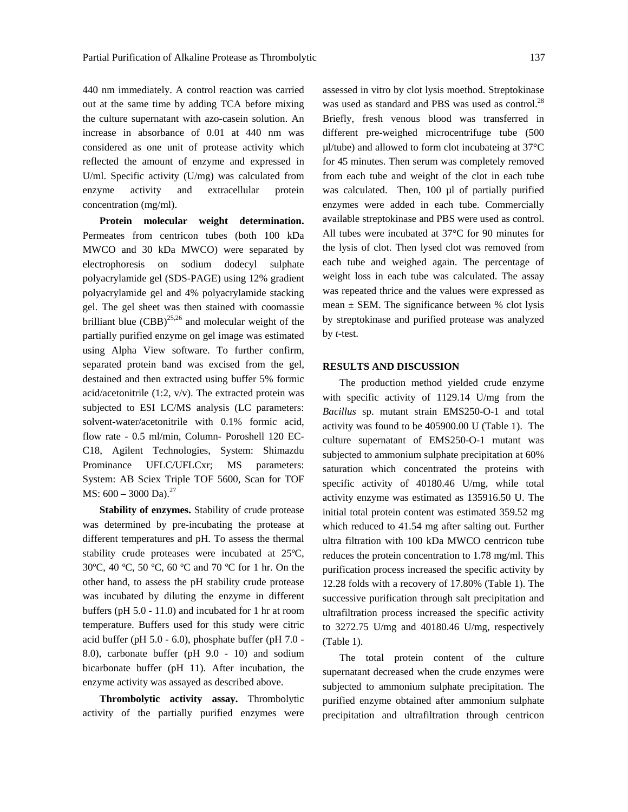440 nm immediately. A control reaction was carried out at the same time by adding TCA before mixing the culture supernatant with azo-casein solution. An increase in absorbance of 0.01 at 440 nm was considered as one unit of protease activity which reflected the amount of enzyme and expressed in U/ml. Specific activity (U/mg) was calculated from enzyme activity and extracellular protein concentration (mg/ml).

 **Protein molecular weight determination.** Permeates from centricon tubes (both 100 kDa MWCO and 30 kDa MWCO) were separated by electrophoresis on sodium dodecyl sulphate polyacrylamide gel (SDS-PAGE) using 12% gradient polyacrylamide gel and 4% polyacrylamide stacking gel. The gel sheet was then stained with coomassie brilliant blue  $(CBB)^{25,26}$  and molecular weight of the partially purified enzyme on gel image was estimated using Alpha View software. To further confirm, separated protein band was excised from the gel, destained and then extracted using buffer 5% formic acid/acetonitrile (1:2, v/v). The extracted protein was subjected to ESI LC/MS analysis (LC parameters: solvent-water/acetonitrile with 0.1% formic acid, flow rate - 0.5 ml/min, Column- Poroshell 120 EC-C18, Agilent Technologies, System: Shimazdu Prominance UFLC/UFLCxr; MS parameters: System: AB Sciex Triple TOF 5600, Scan for TOF MS:  $600 - 3000$  Da).<sup>27</sup>

**Stability of enzymes.** Stability of crude protease was determined by pre-incubating the protease at different temperatures and pH. To assess the thermal stability crude proteases were incubated at 25ºC, 30ºC, 40 ºC, 50 ºC, 60 ºC and 70 ºC for 1 hr. On the other hand, to assess the pH stability crude protease was incubated by diluting the enzyme in different buffers (pH 5.0 - 11.0) and incubated for 1 hr at room temperature. Buffers used for this study were citric acid buffer (pH 5.0 - 6.0), phosphate buffer (pH 7.0 - 8.0), carbonate buffer (pH 9.0 - 10) and sodium bicarbonate buffer (pH 11). After incubation, the enzyme activity was assayed as described above.

**Thrombolytic activity assay.** Thrombolytic activity of the partially purified enzymes were assessed in vitro by clot lysis moethod. Streptokinase was used as standard and PBS was used as control.<sup>28</sup> Briefly, fresh venous blood was transferred in different pre-weighed microcentrifuge tube (500 µl/tube) and allowed to form clot incubateing at 37°C for 45 minutes. Then serum was completely removed from each tube and weight of the clot in each tube was calculated. Then, 100 µl of partially purified enzymes were added in each tube. Commercially available streptokinase and PBS were used as control. All tubes were incubated at 37°C for 90 minutes for the lysis of clot. Then lysed clot was removed from each tube and weighed again. The percentage of weight loss in each tube was calculated. The assay was repeated thrice and the values were expressed as mean  $\pm$  SEM. The significance between % clot lysis by streptokinase and purified protease was analyzed by *t*-test.

# **RESULTS AND DISCUSSION**

 The production method yielded crude enzyme with specific activity of 1129.14 U/mg from the *Bacillus* sp. mutant strain EMS250-O-1 and total activity was found to be 405900.00 U (Table 1).The culture supernatant of EMS250-O-1 mutant was subjected to ammonium sulphate precipitation at 60% saturation which concentrated the proteins with specific activity of 40180.46 U/mg, while total activity enzyme was estimated as 135916.50 U. The initial total protein content was estimated 359.52 mg which reduced to 41.54 mg after salting out. Further ultra filtration with 100 kDa MWCO centricon tube reduces the protein concentration to 1.78 mg/ml. This purification process increased the specific activity by 12.28 folds with a recovery of 17.80% (Table 1). The successive purification through salt precipitation and ultrafiltration process increased the specific activity to 3272.75 U/mg and 40180.46 U/mg, respectively (Table 1).

 The total protein content of the culture supernatant decreased when the crude enzymes were subjected to ammonium sulphate precipitation. The purified enzyme obtained after ammonium sulphate precipitation and ultrafiltration through centricon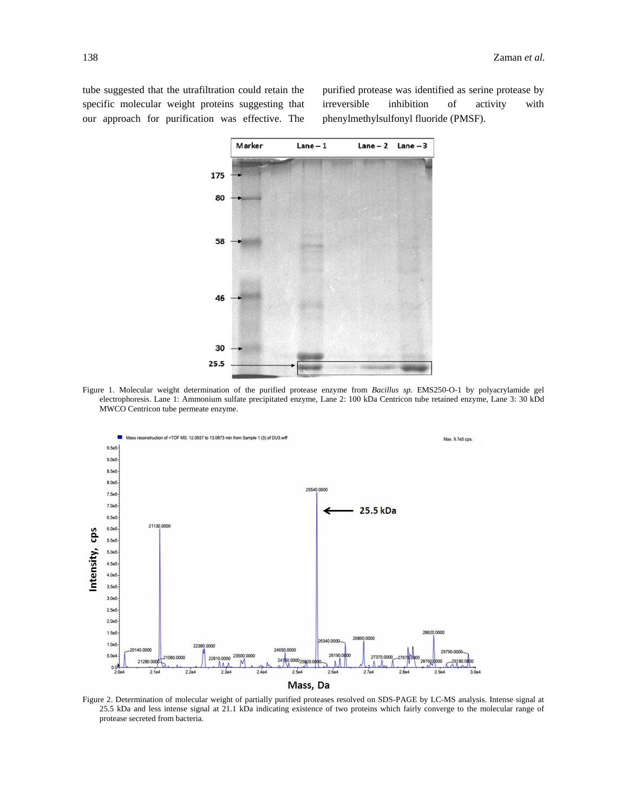tube suggested that the utrafiltration could retain the specific molecular weight proteins suggesting that our approach for purification was effective. The purified protease was identified as serine protease by irreversible inhibition of activity with phenylmethylsulfonyl fluoride (PMSF).



Figure 1. Molecular weight determination of the purified protease enzyme from *Bacillus sp.* EMS250-O-1 by polyacrylamide gel electrophoresis. Lane 1: Ammonium sulfate precipitated enzyme, Lane 2: 100 kDa Centricon tube retained enzyme*,* Lane 3: 30 kDd MWCO Centricon tube permeate enzyme.



Figure 2. Determination of molecular weight of partially purified proteases resolved on SDS-PAGE by LC-MS analysis. Intense signal at 25.5 kDa and less intense signal at 21.1 kDa indicating existence of two proteins which fairly converge to the molecular range of protease secreted from bacteria.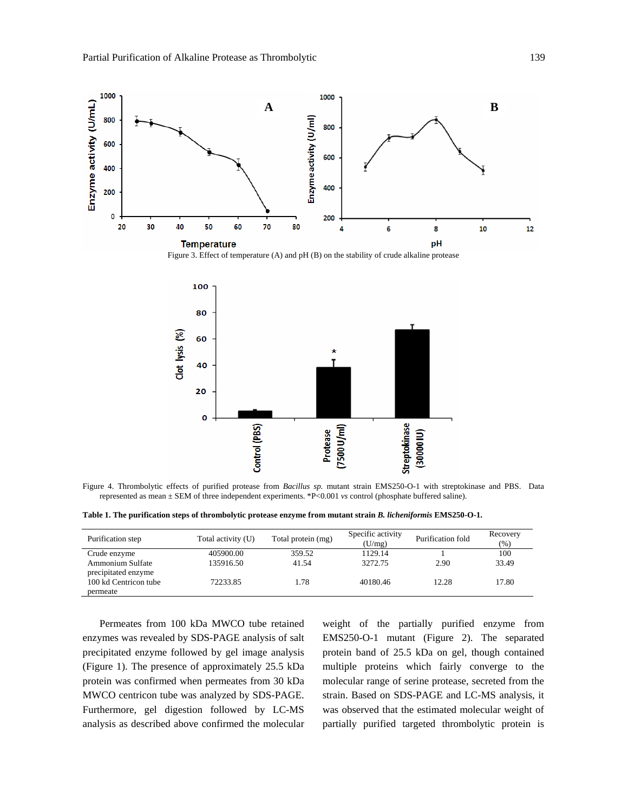

Figure 3. Effect of temperature (A) and pH (B) on the stability of crude alkaline protease



Figure 4. Thrombolytic effects of purified protease from *Bacillus sp.* mutant strain EMS250-O-1 with streptokinase and PBS. Data represented as mean ± SEM of three independent experiments. \*P<0.001 *vs* control (phosphate buffered saline).

**Table 1. The purification steps of thrombolytic protease enzyme from mutant strain** *B. licheniformis* **EMS250-O-1.** 

| Purification step                              | Total activity (U) | Total protein (mg) | Specific activity<br>(U/mg) | Purification fold | Recovery<br>(%) |
|------------------------------------------------|--------------------|--------------------|-----------------------------|-------------------|-----------------|
| Crude enzyme                                   | 405900.00          | 359.52             | 1129.14                     |                   | 100             |
| <b>Ammonium Sulfate</b><br>precipitated enzyme | 135916.50          | 41.54              | 3272.75                     | 2.90              | 33.49           |
| 100 kd Centricon tube<br>permeate              | 72233.85           | 1.78               | 40180.46                    | 12.28             | 17.80           |

 Permeates from 100 kDa MWCO tube retained enzymes was revealed by SDS-PAGE analysis of salt precipitated enzyme followed by gel image analysis (Figure 1). The presence of approximately 25.5 kDa protein was confirmed when permeates from 30 kDa MWCO centricon tube was analyzed by SDS-PAGE. Furthermore, gel digestion followed by LC-MS analysis as described above confirmed the molecular

weight of the partially purified enzyme from EMS250-O-1 mutant (Figure 2). The separated protein band of 25.5 kDa on gel, though contained multiple proteins which fairly converge to the molecular range of serine protease, secreted from the strain. Based on SDS-PAGE and LC-MS analysis, it was observed that the estimated molecular weight of partially purified targeted thrombolytic protein is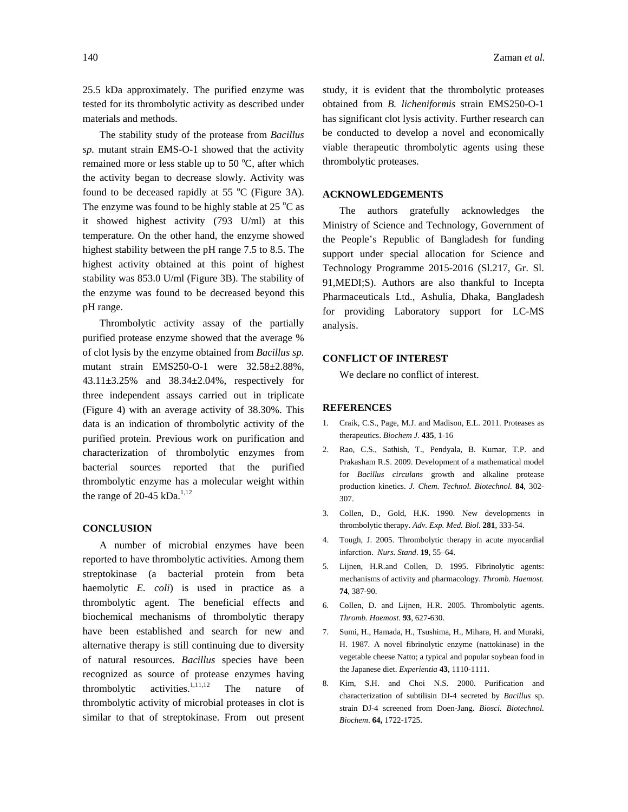25.5 kDa approximately. The purified enzyme was tested for its thrombolytic activity as described under materials and methods.

 The stability study of the protease from *Bacillus sp.* mutant strain EMS-O-1 showed that the activity remained more or less stable up to 50  $^{\circ}$ C, after which the activity began to decrease slowly. Activity was found to be deceased rapidly at 55  $^{\circ}$ C (Figure 3A). The enzyme was found to be highly stable at  $25^{\circ}$ C as it showed highest activity (793 U/ml) at this temperature. On the other hand, the enzyme showed highest stability between the pH range 7.5 to 8.5. The highest activity obtained at this point of highest stability was 853.0 U/ml (Figure 3B). The stability of the enzyme was found to be decreased beyond this pH range.

 Thrombolytic activity assay of the partially purified protease enzyme showed that the average % of clot lysis by the enzyme obtained from *Bacillus sp.* mutant strain EMS250-O-1 were 32.58±2.88%, 43.11±3.25% and 38.34±2.04%, respectively for three independent assays carried out in triplicate (Figure 4) with an average activity of 38.30%. This data is an indication of thrombolytic activity of the purified protein. Previous work on purification and characterization of thrombolytic enzymes from bacterial sources reported that the purified thrombolytic enzyme has a molecular weight within the range of 20-45 kDa. $^{1,12}$ 

#### **CONCLUSION**

 A number of microbial enzymes have been reported to have thrombolytic activities. Among them streptokinase (a bacterial protein from beta haemolytic *E. coli*) is used in practice as a thrombolytic agent. The beneficial effects and biochemical mechanisms of thrombolytic therapy have been established and search for new and alternative therapy is still continuing due to diversity of natural resources. *Bacillus* species have been recognized as source of protease enzymes having thrombolytic activities.<sup>1,11,12</sup> The nature of thrombolytic activity of microbial proteases in clot is similar to that of streptokinase. From out present

study, it is evident that the thrombolytic proteases obtained from *B. licheniformis* strain EMS250-O-1 has significant clot lysis activity. Further research can be conducted to develop a novel and economically viable therapeutic thrombolytic agents using these thrombolytic proteases.

# **ACKNOWLEDGEMENTS**

 The authors gratefully acknowledges the Ministry of Science and Technology, Government of the People's Republic of Bangladesh for funding support under special allocation for Science and Technology Programme 2015-2016 (Sl.217, Gr. Sl. 91,MEDI;S). Authors are also thankful to Incepta Pharmaceuticals Ltd., Ashulia, Dhaka, Bangladesh for providing Laboratory support for LC-MS analysis.

## **CONFLICT OF INTEREST**

We declare no conflict of interest.

#### **REFERENCES**

- 1. Craik, C.S., Page, M.J. and Madison, E.L. 2011. Proteases as therapeutics. *Biochem J.* **435**, 1-16
- 2. Rao, C.S., Sathish, T., Pendyala, B. Kumar, T.P. and Prakasham R.S. 2009. Development of a mathematical model for *Bacillus circulans* growth and alkaline protease production kinetics. *J. Chem. Technol. Biotechnol.* **84**, 302- 307.
- 3. Collen, D., Gold, H.K. 1990. New developments in thrombolytic therapy. *Adv. Exp. Med. Biol*. **281**, 333-54.
- 4. Tough, J. 2005. Thrombolytic therapy in acute myocardial infarction. *Nurs. Stand*. **19**, 55–64.
- 5. Lijnen, H.R.and Collen, D. 1995. Fibrinolytic agents: mechanisms of activity and pharmacology. *Thromb. Haemost.* **74**, 387-90.
- 6. Collen, D. and Lijnen, H.R. 2005. Thrombolytic agents. *Thromb. Haemost.* **93**, 627-630.
- 7. Sumi, H., Hamada, H., Tsushima, H., Mihara, H. and Muraki, H. 1987. A novel fibrinolytic enzyme (nattokinase) in the vegetable cheese Natto; a typical and popular soybean food in the Japanese diet. *Experientia* **43**, 1110-1111.
- 8. Kim, S.H. and Choi N.S. 2000. Purification and characterization of subtilisin DJ-4 secreted by *Bacillus* sp. strain DJ-4 screened from Doen-Jang. *Biosci. Biotechnol. Biochem*. **64,** 1722-1725.